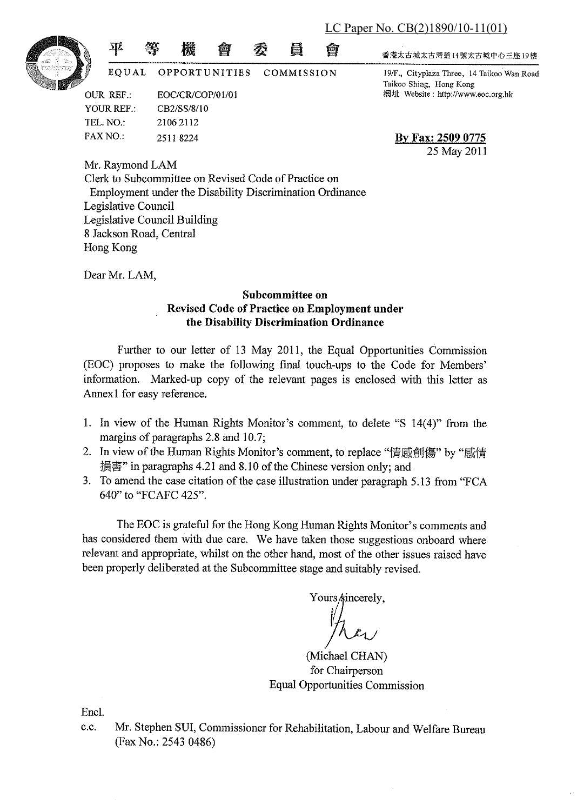LC Paper No. CB(2)1890/10-11(01)



EQUAL

會

橴

**OPPORTUNITIES** COMMISSION

季

<u>e</u>

అ

**OUR REF.:** EOC/CR/COP/01/01 YOUR REF: CB2/SS/8/10 TEL. NO.: 2106 2112 **FAX NO.:** 25118224

亚

香港太古城太古灣道14號太古城中心三座19樓

19/F., Cityplaza Three, 14 Taikoo Wan Road Taikoo Shing, Hong Kong 網址 Website: http://www.eoc.org.hk

By Fax: 2509 0775 25 May 2011

Mr. Raymond LAM Clerk to Subcommittee on Revised Code of Practice on Employment under the Disability Discrimination Ordinance Legislative Council Legislative Council Building 8 Jackson Road, Central Hong Kong

Dear Mr. LAM,

#### Subcommittee on Revised Code of Practice on Employment under the Disability Discrimination Ordinance

Further to our letter of 13 May 2011, the Equal Opportunities Commission (EOC) proposes to make the following final touch-ups to the Code for Members' information. Marked-up copy of the relevant pages is enclosed with this letter as Annex1 for easy reference.

- 1. In view of the Human Rights Monitor's comment, to delete "S 14(4)" from the margins of paragraphs 2.8 and 10.7;
- 2. In view of the Human Rights Monitor's comment, to replace "情感創傷" by "感情 損害" in paragraphs 4.21 and 8.10 of the Chinese version only; and
- 3. To amend the case citation of the case illustration under paragraph 5.13 from "FCA 640" to "FCAFC 425".

The EOC is grateful for the Hong Kong Human Rights Monitor's comments and has considered them with due care. We have taken those suggestions onboard where relevant and appropriate, whilst on the other hand, most of the other issues raised have been properly deliberated at the Subcommittee stage and suitably revised.

Yours sincerely.

(Michael CHAN) for Chairperson **Equal Opportunities Commission** 

Encl.

Mr. Stephen SUI, Commissioner for Rehabilitation, Labour and Welfare Bureau  $c.c.$ (Fax No.: 2543 0486)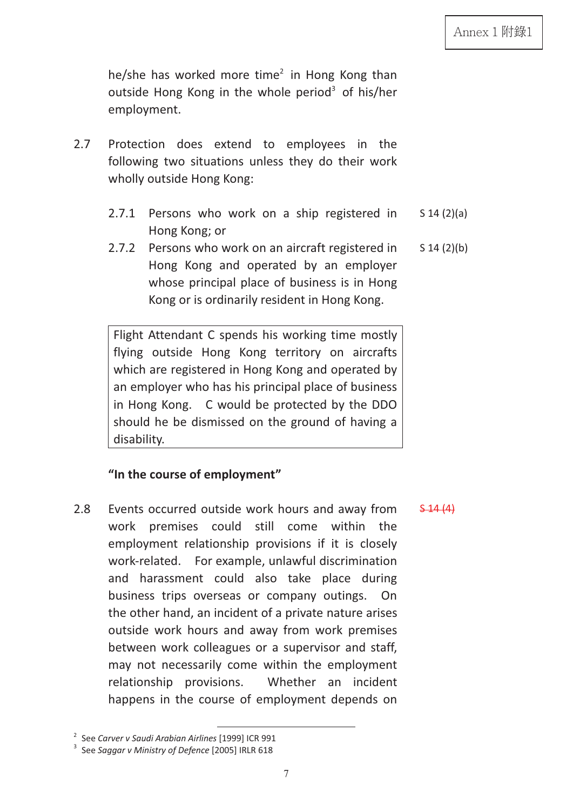he/she has worked more time<sup>2</sup> in Hong Kong than outside Hong Kong in the whole period<sup>3</sup> of his/her employment.

- 2.7 Protection does extend to employees in the following two situations unless they do their work wholly outside Hong Kong:
	- 2.7.1 Persons who work on a ship registered in Hong Kong; or S 14 (2)(a)
	- 2.7.2 Persons who work on an aircraft registered in Hong Kong and operated by an employer whose principal place of business is in Hong Kong or is ordinarily resident in Hong Kong. S 14 (2)(b)

Flight Attendant C spends his working time mostly flying outside Hong Kong territory on aircrafts which are registered in Hong Kong and operated by an employer who has his principal place of business in Hong Kong. C would be protected by the DDO should he be dismissed on the ground of having a disability.

## **"In the course of employment"**

2.8 Events occurred outside work hours and away from work premises could still come within the employment relationship provisions if it is closely work-related. For example, unlawful discrimination and harassment could also take place during business trips overseas or company outings. On the other hand, an incident of a private nature arises outside work hours and away from work premises between work colleagues or a supervisor and staff, may not necessarily come within the employment relationship provisions. Whether an incident happens in the course of employment depends on

7

 $$44(4)$ 

 $\frac{2}{\sqrt{2}}$  Soo Campus u Saudi Arabian Airlines. <sup>2</sup> See Carver v Saudi Arabian Airlines [1999] ICR 991<br><sup>3</sup> See Sannau v Ministry of Defense [2005] IBLB 618

<sup>&</sup>lt;sup>3</sup> See Saggar v Ministry of Defence [2005] IRLR 618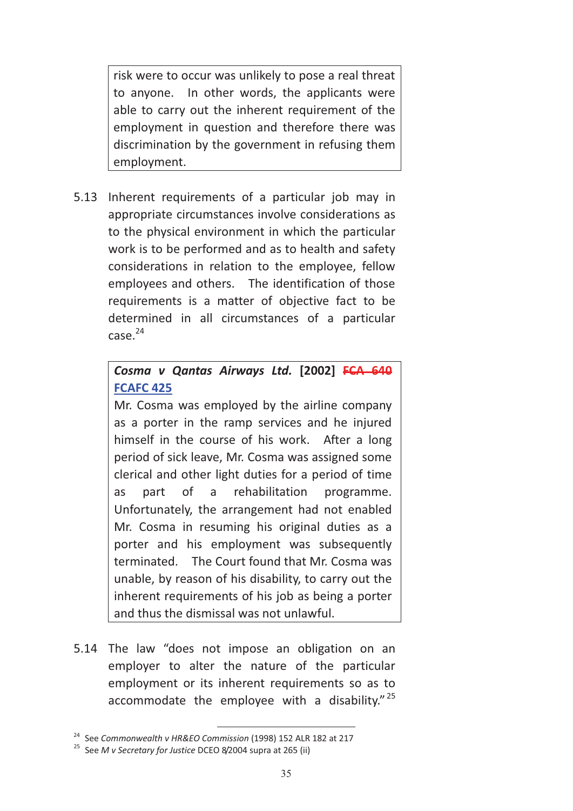risk were to occur was unlikely to pose a real threat to anyone. In other words, the applicants were able to carry out the inherent requirement of the employment in question and therefore there was discrimination by the government in refusing them employment.

5.13 Inherent requirements of a particular job may in appropriate circumstances involve considerations as to the physical environment in which the particular work is to be performed and as to health and safety considerations in relation to the employee, fellow employees and others. The identification of those requirements is a matter of objective fact to be determined in all circumstances of a particular  $case<sup>24</sup>$ 

# *Cosma v Qantas Airways Ltd.* **[2002] FCA 640 FCAFC 425**

Mr. Cosma was employed by the airline company as a porter in the ramp services and he injured himself in the course of his work. After a long period of sick leave, Mr. Cosma was assigned some clerical and other light duties for a period of time as part of a rehabilitation programme. Unfortunately, the arrangement had not enabled Mr. Cosma in resuming his original duties as a porter and his employment was subsequently terminated. The Court found that Mr. Cosma was unable, by reason of his disability, to carry out the inherent requirements of his job as being a porter and thus the dismissal was not unlawful.

5.14 The law "does not impose an obligation on an employer to alter the nature of the particular employment or its inherent requirements so as to accommodate the employee with a disability."<sup>25</sup>

<sup>&</sup>lt;sup>24</sup> See *Commonwealth v HR&EO Commission* (1998) 152 ALR 182 at 217<br><sup>25</sup> See *M v Secretary for Justice DCEO 8/2004 supra at 265 (ii)*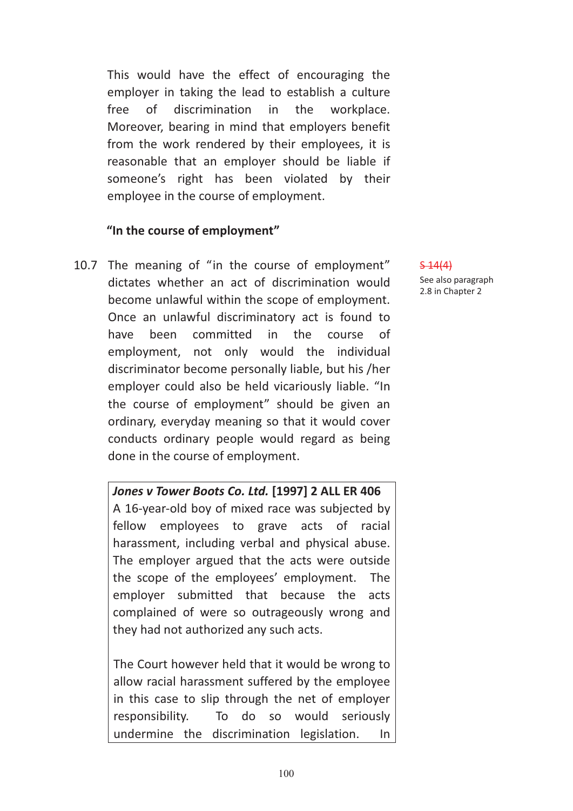This would have the effect of encouraging the employer in taking the lead to establish a culture free of discrimination in the workplace. Moreover, bearing in mind that employers benefit from the work rendered by their employees, it is reasonable that an employer should be liable if someone's right has been violated by their employee in the course of employment.

#### **"In the course of employment"**

10.7 The meaning of "in the course of employment" dictates whether an act of discrimination would become unlawful within the scope of employment. Once an unlawful discriminatory act is found to have been committed in the course of employment, not only would the individual discriminator become personally liable, but his /her employer could also be held vicariously liable. "In the course of employment" should be given an ordinary, everyday meaning so that it would cover conducts ordinary people would regard as being done in the course of employment.

> *Jones v Tower Boots Co. Ltd.* **[1997] 2 ALL ER 406**  A 16-year-old boy of mixed race was subjected by fellow employees to grave acts of racial harassment, including verbal and physical abuse. The employer argued that the acts were outside the scope of the employees' employment. The employer submitted that because the acts complained of were so outrageously wrong and they had not authorized any such acts.

> The Court however held that it would be wrong to allow racial harassment suffered by the employee in this case to slip through the net of employer responsibility. To do so would seriously undermine the discrimination legislation. In

 $5 - 14(4)$ See also paragraph

2.8 in Chapter 2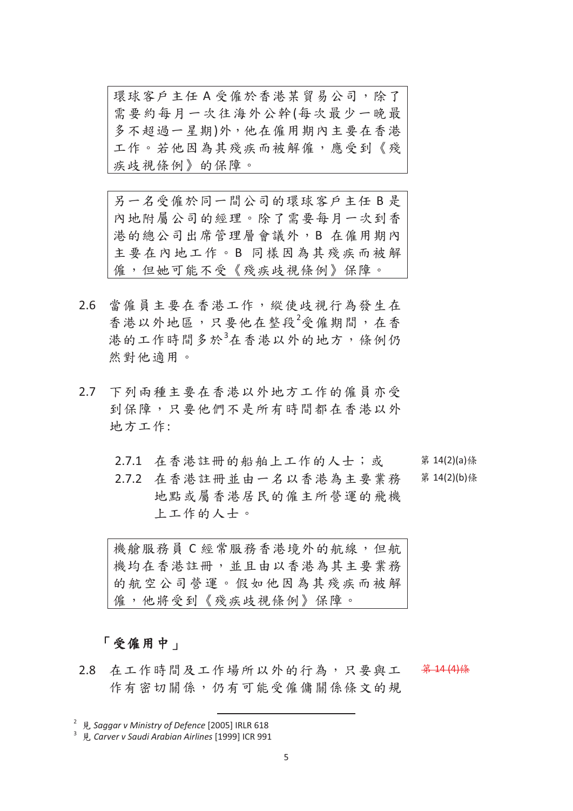環球客戶主任A受僱於香港某貿易公司,除了 需要約每月一次往海外公幹(每次最少一晚最 多不超過一星期)外,他在僱用期內主要在香港 工作。若他因為其殘疾而被解僱,應受到《殘 疾歧視條例》的保障。

另一名受僱於同一間公司的環球客戶主任B是 內地附屬公司的經理。除了需要每月一次到香 港的總公司出席管理層會議外,B 在僱用期內 主要在內地工作。B 同樣因為其殘疾而被解 僱,但她可能不受《殘疾歧視條例》保障。

- 2.6 當僱員主要在香港工作,縱使歧視行為發生在 香港以外地區,只要他在整段<sup>2</sup>受僱期間,在香 港的工作時間多於3在香港以外的地方,條例仍 然對他適用。
- 2.7 下列兩種主要在香港以外地方工作的僱員亦受 到保障,只要他們不是所有時間都在香港以外 地方工作:
	- 2.7.1 在香港註冊的船舶上工作的人士;或

2.7.2 在香港註冊並由一名以香港為主要業務 地點或屬香港居民的僱主所營運的飛機 上工作的人士。

第 14(2)(a)條 第 14(2)(b)條

機艙服務員 C 經常服務香港境外的航線, 但航 機均在香港註冊,並且由以香港為其主要業務 的航空公司營運。假如他因為其殘疾而被解 僱,他將受到《殘疾歧視條例》保障。

### 「受僱用中」

2.8 在工作時間及工作場所以外的行為,只要與工 作有密切關係,仍有可能受僱傭關係條文的規 第 14 (4)條

<sup>&</sup>lt;sup>2</sup> 見 Saggar v Ministry of Defence [2005] IRLR 618<br><sup>3</sup> 見 Carver v Saudi Arabian Airlines [1999] ICR 991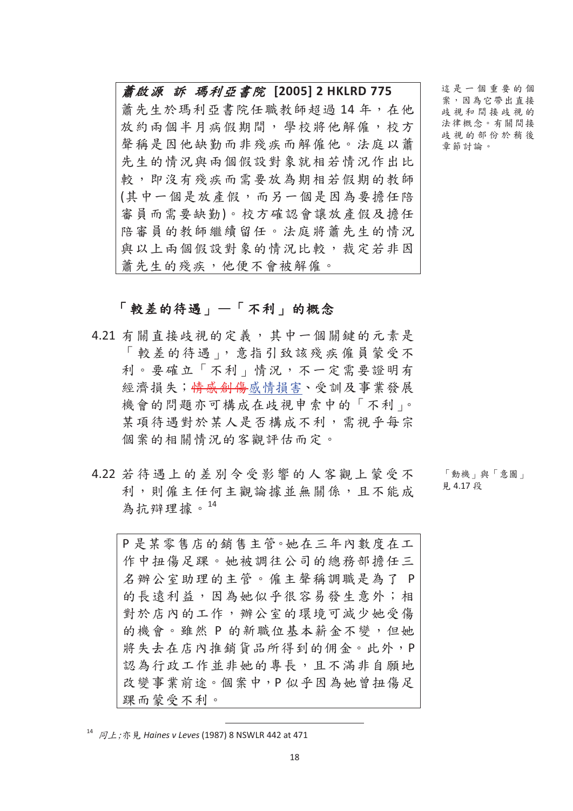**蕭啟源 訴 瑪利亞書院 [2005] 2 HKLRD 775** 蕭先生於瑪利亞書院任職教師超過14年,在他 放約兩個半月病假期間,學校將他解僱,校方 聲稱是因他缺勤而非殘疾而解僱他。法庭以蕭 先生的情况與兩個假設對象就相若情況作出比 較,即沒有殘疾而需要放為期相若假期的教師 (其中一個是放產假,而另一個是因為要擔任陪 審員而需要缺勤)。校方確認會讓放產假及擔任 陪審員的教師繼續留任。法庭將蕭先生的情況 與以上兩個假設對象的情況比較,裁定若非因 蕭先生的殘疾,他便不會被解僱。

「較差的待遇」一「不利」的概念

- 4.21 有關直接歧視的定義,其中一個關鍵的元素是 「較差的待遇」,意指引致該殘疾僱員蒙受不 利。要確立「不利」情況,不一定需要證明有 經濟損失;<del>情感創傷</del>感情損害、受訓及事業發展 機會的問題亦可構成在歧視申索中的「不利」。 某項待遇對於某人是否構成不利,需視乎每宗 個案的相關情況的客觀評估而定。
- 4.22 若待遇上的差別今受影響的人客觀上蒙受不 利,則僱主任何主觀論據並無關係,且不能成 為抗辯理據。 $^{14}$

P是某零售店的銷售主管。她在三年內數度在工 作中扭傷足踝。她被調往公司的總務部擔任三 名辦公室助理的主管。僱主聲稱調職是為了P 的長遠利益,因為她似乎很容易發生意外;相 對於店內的工作,辦公室的環境可減少她受傷 的機會。雖然 P 的新職位基本薪金不變, 但她 將失去在店內推銷貨品所得到的佣金。此外,P 認為行政工作並非她的專長,且不滿非自願地 改變事業前途。個案中,P似乎因為她曾扭傷足 踝而蒙受不利。

18

這是一個重要的個 案,因為它帶出直接 歧視和間接歧視的 法律概念。有關間接 歧視的部份於稍後 童節計論。

「動機」與「意圖」 見 4.17 段

<sup>&</sup>lt;sup>14</sup> *同上*; 亦 見 *Haines v Leves* (1987) 8 NSWLR 442 at 471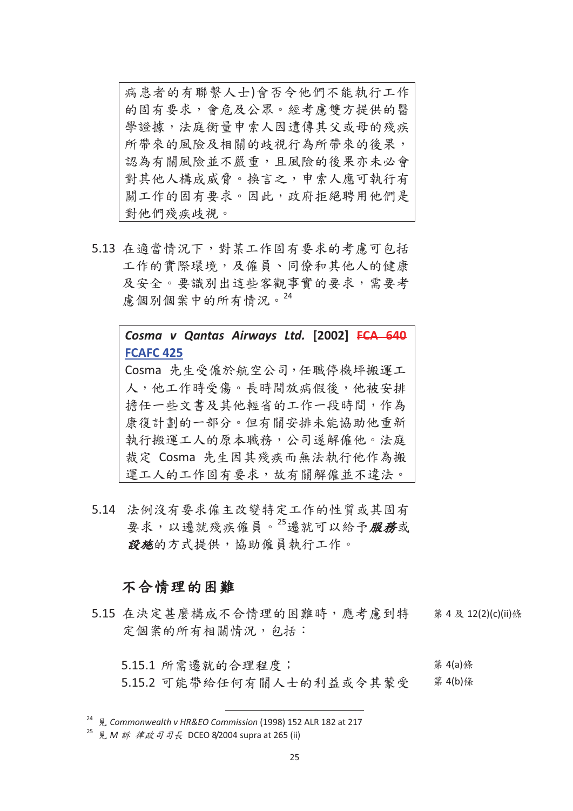病患者的有聯繫人士)會否令他們不能執行工作 的固有要求, 會危及公眾。經考慮雙方提供的醫 學證據,法庭衡量申索人因遺傳其父或母的殘疾 所帶來的風險及相關的歧視行為所帶來的後果, 認為有關風險並不嚴重,且風險的後果亦未必會 對其他人構成威脅。換言之,申索人應可執行有 關工作的固有要求。因此,政府拒絕聘用他們是 對他們殘疾歧視。

5.13 在適當情況下,對某工作固有要求的考慮可包括 工作的實際環境,及僱員、同僚和其他人的健康 及安全。要識別出這些客觀事實的要求,需要考 慮個別個案中的所有情況。<sup>24</sup>

> **FCAFC 425** Cosma 先生受僱於航空公司,任職停機坪搬運工 人,他工作時受傷。長時間放病假後,他被安排 擔任一些文書及其他輕省的工作一段時間,作為 康復計劃的一部分。但有關安排未能協助他重新 執行搬運工人的原本職務,公司遂解僱他。法庭 裁定 Cosma 先生因其殘疾而無法執行他作為搬 運工人的工作固有要求,故有關解僱並不違法。

> *Cosma v Qantas Airways Ltd.* **[2002] FCA 640**

5.14 法例没有要求僱主改變特定工作的性質或其固有 要求,以遷就殘疾僱員。<sup>25</sup>遷就可以給予服務或 設施的方式提供,協助僱員執行工作。

### 不合情理的困難

5.15 在決定甚麼構成不合情理的困難時,應考慮到特 定個案的所有相關情況,包括: 第 4 及 12(2)(c)(ii)條

5.15.1 所需遷就的合理程度; 5.15.2 可能帶給任何有關人士的利益或今其蒙受 第 4(a)條 第 4(b)條

<sup>&</sup>lt;sup>24</sup> 見 Commonwealth v HR&EO Commission (1998) 152 ALR 182 at 217<br><sup>25</sup> 見 *M 訴 律政司司長* DCEO 8/2004 supra at 265 (ii)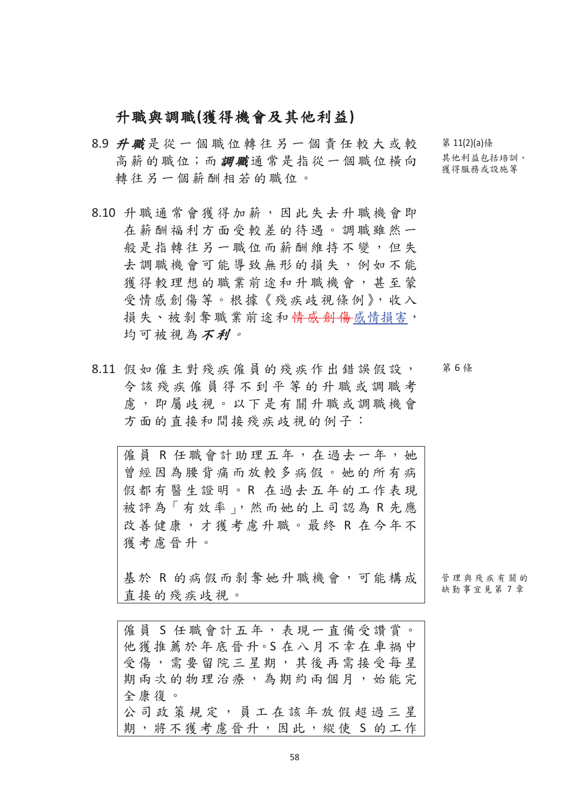## 升職與調職(獲得機會及其他利益)

- 8.9 升職是從一個職位轉往另一個責任較大或較 高薪的職位;而調職通常是指從一個職位橫向 轉往另一個薪酬相若的職位。
- 8.10 升職通常會獲得加薪,因此失去升職機會即 在薪酬福利方面受較差的待遇。調職雖然一 般是指轉往另一職位而薪酬維持不變,但失 去調職機會可能導致無形的損失,例如不能 獲得較理想的職業前途和升職機會,甚至蒙 受情感創傷等。根據《殘疾歧視條例》,收入 損失、被剝奪職業前途和<del>情感創傷</del>感情損害, 均可被視為不利。
- 8.11 假如僱主對殘疾僱員的殘疾作出錯誤假設, 今該殘疾僱員得不到平等的升職或調職考 慮,即屬歧視。以下是有關升職或調職機會 方面的直接和間接殘疾歧視的例子:

僱員 R 任職會計助理五年, 在過去一年,她 曾經因為腰背痛而放較多病假。她的所有病 假都有醫生證明。R 在過去五年的工作表現 被評為「有效率」,然而她的上司認為R先應 改善健康,才獲考慮升職。最終 R 在今年不 獲考慮晉升。

基於 R 的病假而剝奪她升職機會,可能構成 直接的殘疾歧視。

管理與殘疾有關的 缺勤事官見第7章

僱員 S 任職會計五年,表現一直備受讚當。 他獲推薦於年底晉升。S在八月不幸在車禍中 受傷,需要留院三星期,其後再需接受每星 期雨次的物理治療,為期約兩個月,始能完 全康復。 公司政策規定,員工在該年放假超過三星 期,將不獲考慮晉升,因此,縱使 S 的工作  $$11(2)(a)$  係 其他利益包括培訓、 獲得服務或設施等

ಃ 6 చ